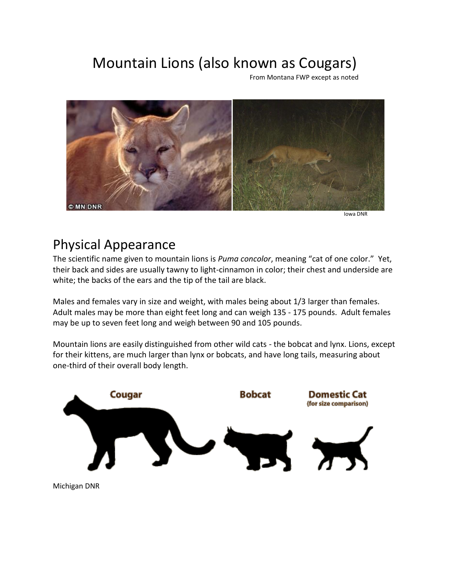## Mountain Lions (also known as Cougars)

From Montana FWP except as noted



Iowa DNR

## Physical Appearance

The scientific name given to mountain lions is *Puma concolor*, meaning "cat of one color." Yet, their back and sides are usually tawny to light-cinnamon in color; their chest and underside are white; the backs of the ears and the tip of the tail are black.

Males and females vary in size and weight, with males being about 1/3 larger than females. Adult males may be more than eight feet long and can weigh 135 - 175 pounds. Adult females may be up to seven feet long and weigh between 90 and 105 pounds.

Mountain lions are easily distinguished from other wild cats - the bobcat and lynx. Lions, except for their kittens, are much larger than lynx or bobcats, and have long tails, measuring about one-third of their overall body length.

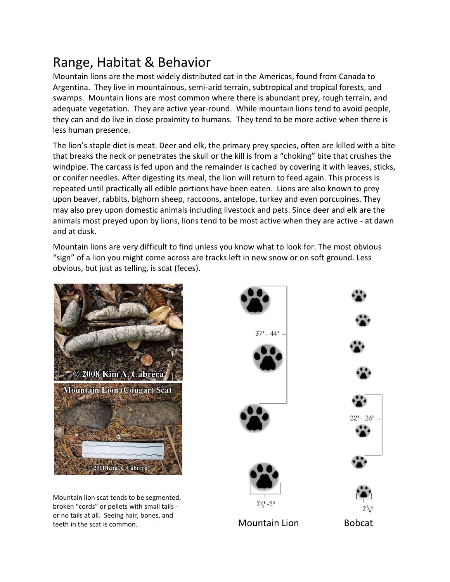## Range, Habitat & Behavior

Mountain lions are the most widely distributed cat in the Americas, found from Canada to Argentina. They live in mountainous, semi-arid terrain, subtropical and tropical forests, and swamps. Mountain lions are most common where there is abundant prey, rough terrain, and adequate vegetation. They are active year-round. While mountain lions tend to avoid people, they can and do live in close proximity to humans. They tend to be more active when there is less human presence.

The lion's staple diet is meat. Deer and elk, the primary prey species, often are killed with a bite that breaks the neck or penetrates the skull or the kill is from a "choking" bite that crushes the windpipe. The carcass is fed upon and the remainder is cached by covering it with leaves, sticks, or conifer needles. After digesting its meal, the lion will return to feed again. This process is repeated until practically all edible portions have been eaten. Lions are also known to prey upon beaver, rabbits, bighorn sheep, raccoons, antelope, turkey and even porcupines. They may also prey upon domestic animals including livestock and pets. Since deer and elk are the animals most preyed upon by lions, lions tend to be most active when they are active - at dawn and at dusk.

Mountain lions are very difficult to find unless you know what to look for. The most obvious "sign" of a lion you might come across are tracks left in new snow or on soft ground. Less obvious, but just as telling, is scat (feces).